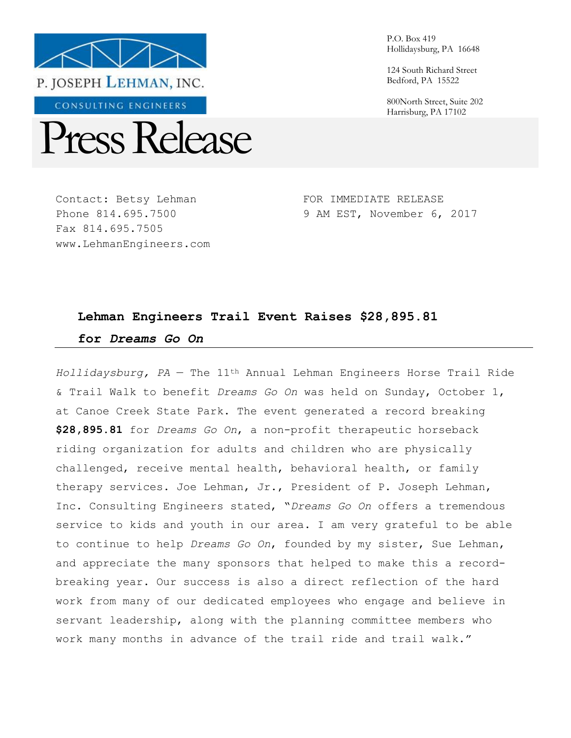

CONSULTING ENGINEERS



Contact: Betsy Lehman Phone 814.695.7500 Fax 814.695.7505 www.LehmanEngineers.com P.O. Box 419 Hollidaysburg, PA 16648

124 South Richard Street Bedford, PA 15522

800North Street, Suite 202 Harrisburg, PA 17102

FOR IMMEDIATE RELEASE 9 AM EST, November 6, 2017

# **Lehman Engineers Trail Event Raises \$28,895.81 for** *Dreams Go On*

*Hollidaysburg, PA* — The 11th Annual Lehman Engineers Horse Trail Ride & Trail Walk to benefit *Dreams Go On* was held on Sunday, October 1, at Canoe Creek State Park. The event generated a record breaking **\$28,895.81** for *Dreams Go On*, a non-profit therapeutic horseback riding organization for adults and children who are physically challenged, receive mental health, behavioral health, or family therapy services. Joe Lehman, Jr., President of P. Joseph Lehman, Inc. Consulting Engineers stated, "*Dreams Go On* offers a tremendous service to kids and youth in our area. I am very grateful to be able to continue to help *Dreams Go On*, founded by my sister, Sue Lehman, and appreciate the many sponsors that helped to make this a recordbreaking year. Our success is also a direct reflection of the hard work from many of our dedicated employees who engage and believe in servant leadership, along with the planning committee members who work many months in advance of the trail ride and trail walk."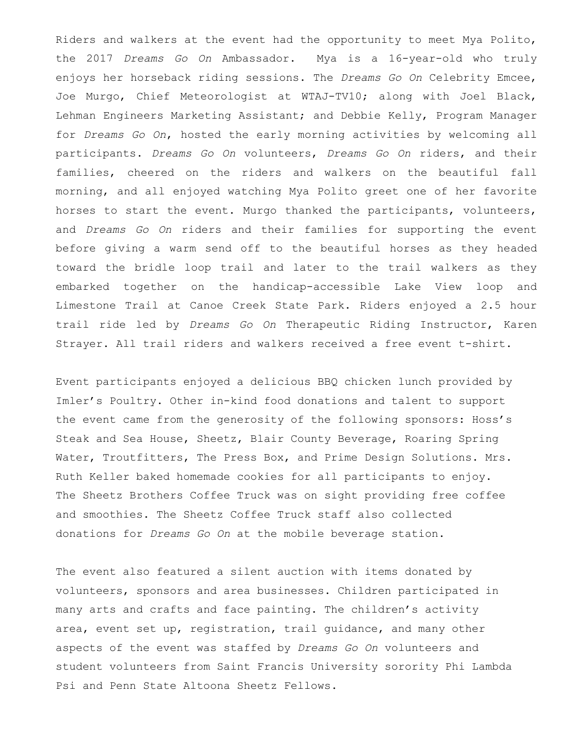Riders and walkers at the event had the opportunity to meet Mya Polito, the 2017 *Dreams Go On* Ambassador. Mya is a 16-year-old who truly enjoys her horseback riding sessions. The *Dreams Go On* Celebrity Emcee, Joe Murgo, Chief Meteorologist at WTAJ-TV10; along with Joel Black, Lehman Engineers Marketing Assistant; and Debbie Kelly, Program Manager for *Dreams Go On*, hosted the early morning activities by welcoming all participants. *Dreams Go On* volunteers, *Dreams Go On* riders, and their families, cheered on the riders and walkers on the beautiful fall morning, and all enjoyed watching Mya Polito greet one of her favorite horses to start the event. Murgo thanked the participants, volunteers, and *Dreams Go On* riders and their families for supporting the event before giving a warm send off to the beautiful horses as they headed toward the bridle loop trail and later to the trail walkers as they embarked together on the handicap-accessible Lake View loop and Limestone Trail at Canoe Creek State Park. Riders enjoyed a 2.5 hour trail ride led by *Dreams Go On* Therapeutic Riding Instructor, Karen Strayer. All trail riders and walkers received a free event t-shirt.

Event participants enjoyed a delicious BBQ chicken lunch provided by Imler's Poultry. Other in-kind food donations and talent to support the event came from the generosity of the following sponsors: Hoss's Steak and Sea House, Sheetz, Blair County Beverage, Roaring Spring Water, Troutfitters, The Press Box, and Prime Design Solutions. Mrs. Ruth Keller baked homemade cookies for all participants to enjoy. The Sheetz Brothers Coffee Truck was on sight providing free coffee and smoothies. The Sheetz Coffee Truck staff also collected donations for *Dreams Go On* at the mobile beverage station.

The event also featured a silent auction with items donated by volunteers, sponsors and area businesses. Children participated in many arts and crafts and face painting. The children's activity area, event set up, registration, trail guidance, and many other aspects of the event was staffed by *Dreams Go On* volunteers and student volunteers from Saint Francis University sorority Phi Lambda Psi and Penn State Altoona Sheetz Fellows.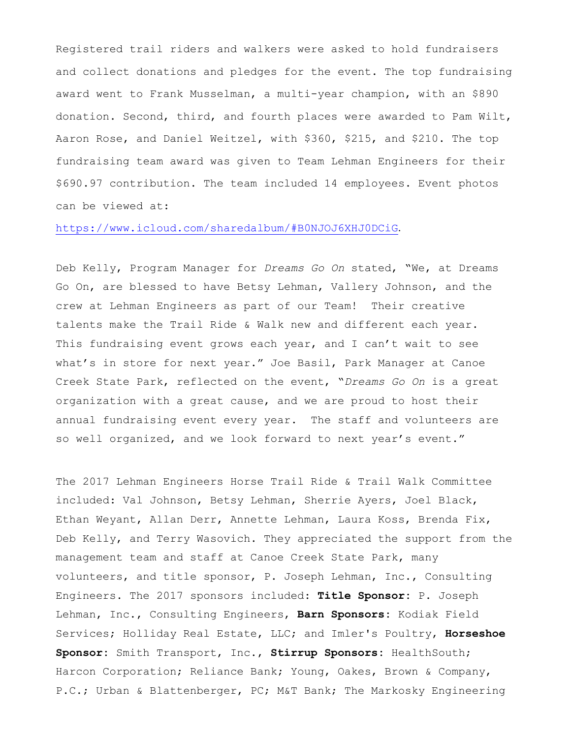Registered trail riders and walkers were asked to hold fundraisers and collect donations and pledges for the event. The top fundraising award went to Frank Musselman, a multi-year champion, with an \$890 donation. Second, third, and fourth places were awarded to Pam Wilt, Aaron Rose, and Daniel Weitzel, with \$360, \$215, and \$210. The top fundraising team award was given to Team Lehman Engineers for their \$690.97 contribution. The team included 14 employees. Event photos can be viewed at:

#### <https://www.icloud.com/sharedalbum/#B0NJOJ6XHJ0DCiG>.

Deb Kelly, Program Manager for *Dreams Go On* stated, "We, at Dreams Go On, are blessed to have Betsy Lehman, Vallery Johnson, and the crew at Lehman Engineers as part of our Team! Their creative talents make the Trail Ride & Walk new and different each year. This fundraising event grows each year, and I can't wait to see what's in store for next year." Joe Basil, Park Manager at Canoe Creek State Park, reflected on the event, "*Dreams Go On* is a great organization with a great cause, and we are proud to host their annual fundraising event every year. The staff and volunteers are so well organized, and we look forward to next year's event."

The 2017 Lehman Engineers Horse Trail Ride & Trail Walk Committee included: Val Johnson, Betsy Lehman, Sherrie Ayers, Joel Black, Ethan Weyant, Allan Derr, Annette Lehman, Laura Koss, Brenda Fix, Deb Kelly, and Terry Wasovich. They appreciated the support from the management team and staff at Canoe Creek State Park, many volunteers, and title sponsor, P. Joseph Lehman, Inc., Consulting Engineers. The 2017 sponsors included: **Title Sponsor:** P. Joseph Lehman, Inc., Consulting Engineers, **Barn Sponsors:** Kodiak Field Services; Holliday Real Estate, LLC; and Imler's Poultry, **Horseshoe Sponsor:** Smith Transport, Inc., **Stirrup Sponsors:** HealthSouth; Harcon Corporation; Reliance Bank; Young, Oakes, Brown & Company, P.C.; Urban & Blattenberger, PC; M&T Bank; The Markosky Engineering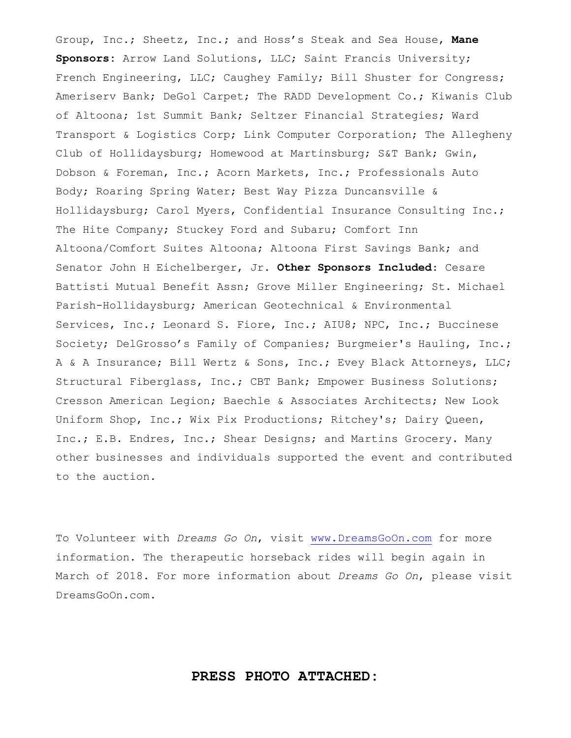Group, Inc.; Sheetz, Inc.; and Hoss's Steak and Sea House, **Mane Sponsors:** Arrow Land Solutions, LLC; Saint Francis University; French Engineering, LLC; Caughey Family; Bill Shuster for Congress; Ameriserv Bank; DeGol Carpet; The RADD Development Co.; Kiwanis Club of Altoona; 1st Summit Bank; Seltzer Financial Strategies; Ward Transport & Logistics Corp; Link Computer Corporation; The Allegheny Club of Hollidaysburg; Homewood at Martinsburg; S&T Bank; Gwin, Dobson & Foreman, Inc.; Acorn Markets, Inc.; Professionals Auto Body; Roaring Spring Water; Best Way Pizza Duncansville & Hollidaysburg; Carol Myers, Confidential Insurance Consulting Inc.; The Hite Company; Stuckey Ford and Subaru; Comfort Inn Altoona/Comfort Suites Altoona; Altoona First Savings Bank; and Senator John H Eichelberger, Jr. **Other Sponsors Included**: Cesare Battisti Mutual Benefit Assn; Grove Miller Engineering; St. Michael Parish-Hollidaysburg; American Geotechnical & Environmental Services, Inc.; Leonard S. Fiore, Inc.; AIU8; NPC, Inc.; Buccinese Society; DelGrosso's Family of Companies; Burgmeier's Hauling, Inc.; A & A Insurance; Bill Wertz & Sons, Inc.; Evey Black Attorneys, LLC; Structural Fiberglass, Inc.; CBT Bank; Empower Business Solutions; Cresson American Legion; Baechle & Associates Architects; New Look Uniform Shop, Inc.; Wix Pix Productions; Ritchey's; Dairy Queen, Inc.; E.B. Endres, Inc.; Shear Designs; and Martins Grocery. Many other businesses and individuals supported the event and contributed to the auction.

To Volunteer with *Dreams Go On*, visit [www.DreamsGoOn.com](http://www.dreamsgoon.com/) for more information. The therapeutic horseback rides will begin again in March of 2018. For more information about *Dreams Go On*, please visit DreamsGoOn.com.

### **PRESS PHOTO ATTACHED:**